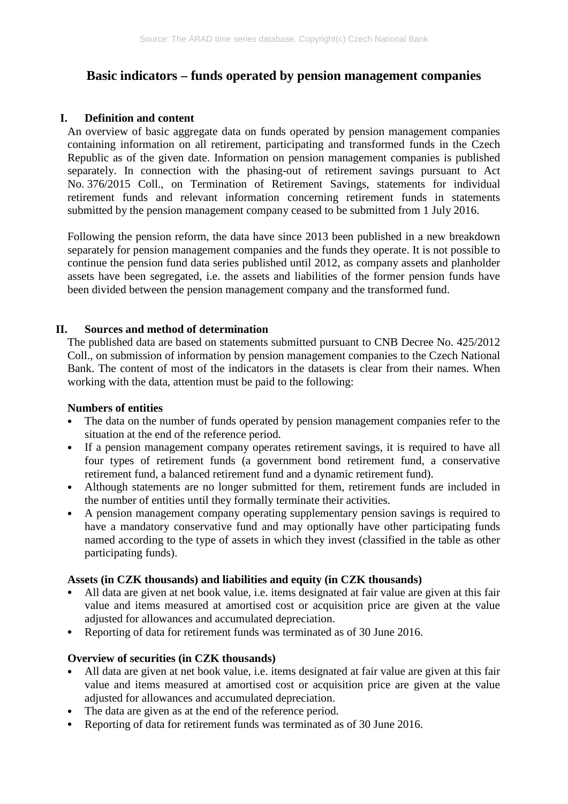# **Basic indicators – funds operated by pension management companies**

## **I. Definition and content**

An overview of basic aggregate data on funds operated by pension management companies containing information on all retirement, participating and transformed funds in the Czech Republic as of the given date. Information on pension management companies is published separately. In connection with the phasing-out of retirement savings pursuant to Act No. 376/2015 Coll., on Termination of Retirement Savings, statements for individual retirement funds and relevant information concerning retirement funds in statements submitted by the pension management company ceased to be submitted from 1 July 2016.

Following the pension reform, the data have since 2013 been published in a new breakdown separately for pension management companies and the funds they operate. It is not possible to continue the pension fund data series published until 2012, as company assets and planholder assets have been segregated, i.e. the assets and liabilities of the former pension funds have been divided between the pension management company and the transformed fund.

## **II. Sources and method of determination**

The published data are based on statements submitted pursuant to CNB Decree No. 425/2012 Coll., on submission of information by pension management companies to the Czech National Bank. The content of most of the indicators in the datasets is clear from their names. When working with the data, attention must be paid to the following:

#### **Numbers of entities**

- The data on the number of funds operated by pension management companies refer to the situation at the end of the reference period.
- If a pension management company operates retirement savings, it is required to have all four types of retirement funds (a government bond retirement fund, a conservative retirement fund, a balanced retirement fund and a dynamic retirement fund).
- Although statements are no longer submitted for them, retirement funds are included in the number of entities until they formally terminate their activities.
- A pension management company operating supplementary pension savings is required to have a mandatory conservative fund and may optionally have other participating funds named according to the type of assets in which they invest (classified in the table as other participating funds).

#### **Assets (in CZK thousands) and liabilities and equity (in CZK thousands)**

- All data are given at net book value, i.e. items designated at fair value are given at this fair value and items measured at amortised cost or acquisition price are given at the value adjusted for allowances and accumulated depreciation.
- Reporting of data for retirement funds was terminated as of 30 June 2016.

# **Overview of securities (in CZK thousands)**

- All data are given at net book value, i.e. items designated at fair value are given at this fair value and items measured at amortised cost or acquisition price are given at the value adjusted for allowances and accumulated depreciation.
- The data are given as at the end of the reference period.
- Reporting of data for retirement funds was terminated as of 30 June 2016.